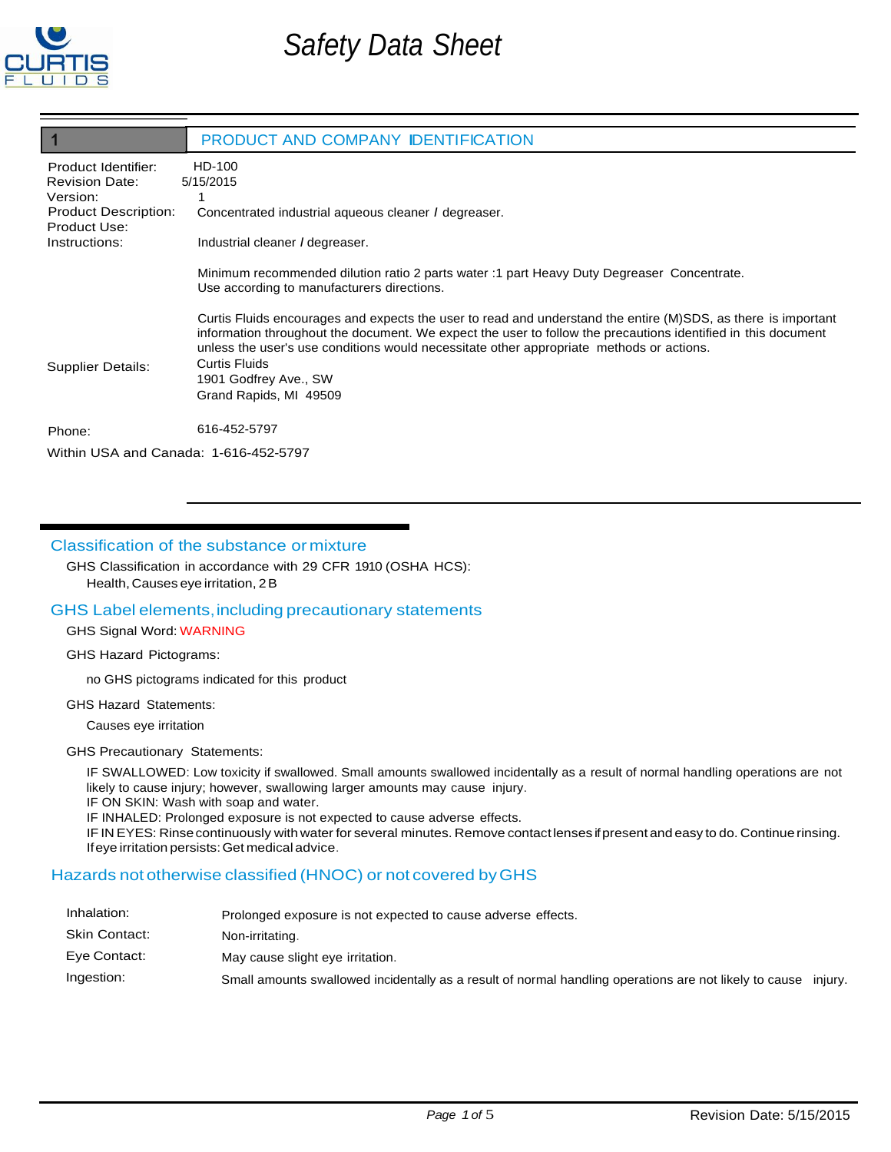

|                                                                                                         | PRODUCT AND COMPANY IDENTIFICATION                                                                                                                                                                                                                                                                                                                                                             |  |  |
|---------------------------------------------------------------------------------------------------------|------------------------------------------------------------------------------------------------------------------------------------------------------------------------------------------------------------------------------------------------------------------------------------------------------------------------------------------------------------------------------------------------|--|--|
| Product Identifier:<br><b>Revision Date:</b><br>Version:<br><b>Product Description:</b><br>Product Use: | HD-100<br>5/15/2015<br>Concentrated industrial aqueous cleaner <i>I</i> degreaser.                                                                                                                                                                                                                                                                                                             |  |  |
| Instructions:                                                                                           | Industrial cleaner / degreaser.                                                                                                                                                                                                                                                                                                                                                                |  |  |
|                                                                                                         | Minimum recommended dilution ratio 2 parts water : 1 part Heavy Duty Degreaser Concentrate.<br>Use according to manufacturers directions.                                                                                                                                                                                                                                                      |  |  |
| Supplier Details:                                                                                       | Curtis Fluids encourages and expects the user to read and understand the entire (M)SDS, as there is important<br>information throughout the document. We expect the user to follow the precautions identified in this document<br>unless the user's use conditions would necessitate other appropriate methods or actions.<br>Curtis Fluids<br>1901 Godfrey Ave., SW<br>Grand Rapids, MI 49509 |  |  |
| Phone:                                                                                                  | 616-452-5797                                                                                                                                                                                                                                                                                                                                                                                   |  |  |
| Within USA and Canada: 1-616-452-5797                                                                   |                                                                                                                                                                                                                                                                                                                                                                                                |  |  |

# Classification of the substance ormixture

GHS Classification in accordance with 29 CFR 1910 (OSHA HCS):

Health, Causes eye irritation, 2B

#### GHS Label elements,including precautionary statements

#### GHS Signal Word: WARNING

#### GHS Hazard Pictograms:

no GHS pictograms indicated for this product

#### GHS Hazard Statements:

Causes eye irritation

#### GHS Precautionary Statements:

IF SWALLOWED: Low toxicity if swallowed. Small amounts swallowed incidentally as a result of normal handling operations are not likely to cause injury; however, swallowing larger amounts may cause injury.

IF ON SKIN: Wash with soap and water.

IF INHALED: Prolonged exposure is not expected to cause adverse effects.

IF IN EYES: Rinsecontinuously with water for several minutes. Remove contactlenses ifpresent and easy to do. Continue rinsing. Ifeye irritation persists:Get medical advice.

# Hazards not otherwise classified (HNOC) or not covered byGHS

| Inhalation:   | Prolonged exposure is not expected to cause adverse effects.                                                   |  |
|---------------|----------------------------------------------------------------------------------------------------------------|--|
| Skin Contact: | Non-irritating.                                                                                                |  |
| Eye Contact:  | May cause slight eye irritation.                                                                               |  |
| Ingestion:    | Small amounts swallowed incidentally as a result of normal handling operations are not likely to cause injury. |  |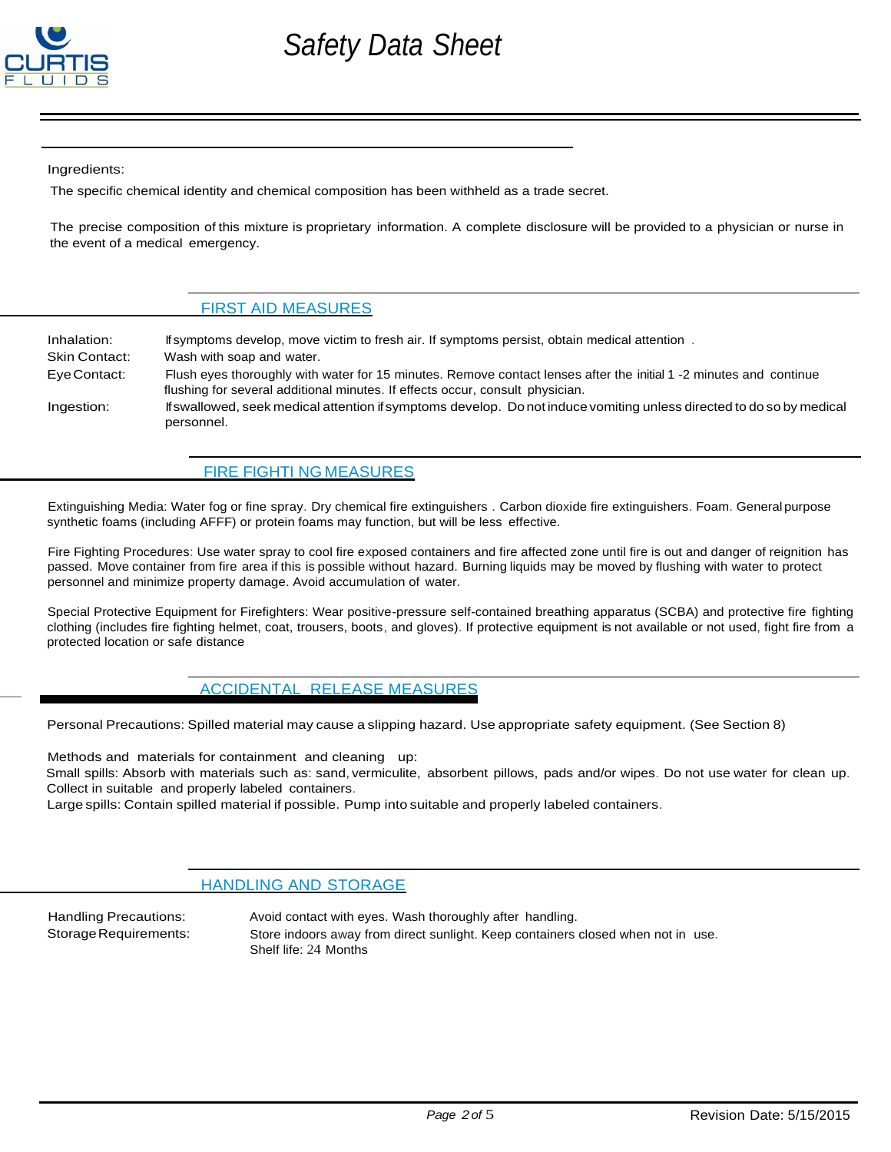

Ingredients:

The specific chemical identity and chemical composition has been withheld as a trade secret.

The precise composition of this mixture is proprietary information. A complete disclosure will be provided to a physician or nurse in the event of a medical emergency.

#### **FIRST AID MEASURES**

Inhalation: Skin Contact: EyeContact: Ingestion: If symptoms develop, move victim to fresh air. If symptoms persist, obtain medical attention . Wash with soap and water. Flush eyes thoroughly with water for 15 minutes. Remove contact lenses after the initial 1 -2 minutes and continue flushing for several additional minutes. If effects occur, consult physician. Ifswallowed, seek medical attention ifsymptoms develop. Donot induce vomiting unless directed to do so by medical personnel.

#### **FIRE FIGHTI NG MEASURES**

Extinguishing Media: Water fog or fine spray. Dry chemical fire extinguishers . Carbon dioxide fire extinguishers. Foam. General purpose synthetic foams (including AFFF) or protein foams may function, but will be less effective.

Fire Fighting Procedures: Use water spray to cool fire exposed containers and fire affected zone until fire is out and danger of reignition has passed. Move container from fire area if this is possible without hazard. Burning liquids may be moved by flushing with water to protect personnel and minimize property damage. Avoid accumulation of water.

Special Protective Equipment for Firefighters: Wear positive-pressure self-contained breathing apparatus (SCBA) and protective fire fighting clothing (includes fire fighting helmet, coat, trousers, boots, and gloves). If protective equipment is not available or not used, fight fire from a protected location or safe distance

### **ACCIDENTAL RELEASE MEASURES**

Personal Precautions: Spilled material may cause a slipping hazard. Use appropriate safety equipment. (See Section 8)

Methods and materials for containment and cleaning up: Small spills: Absorb with materials such as: sand, vermiculite, absorbent pillows, pads and/or wipes. Do not use water for clean up. Collect in suitable and properly labeled containers.

Large spills: Contain spilled material if possible. Pump into suitable and properly labeled containers.

#### HANDLING AND STORAGE

Handling Precautions: Storage Requirements: Avoid contact with eyes. Wash thoroughly after handling. Store indoors away from direct sunlight. Keep containers closed when not in use. Shelf life: 24 Months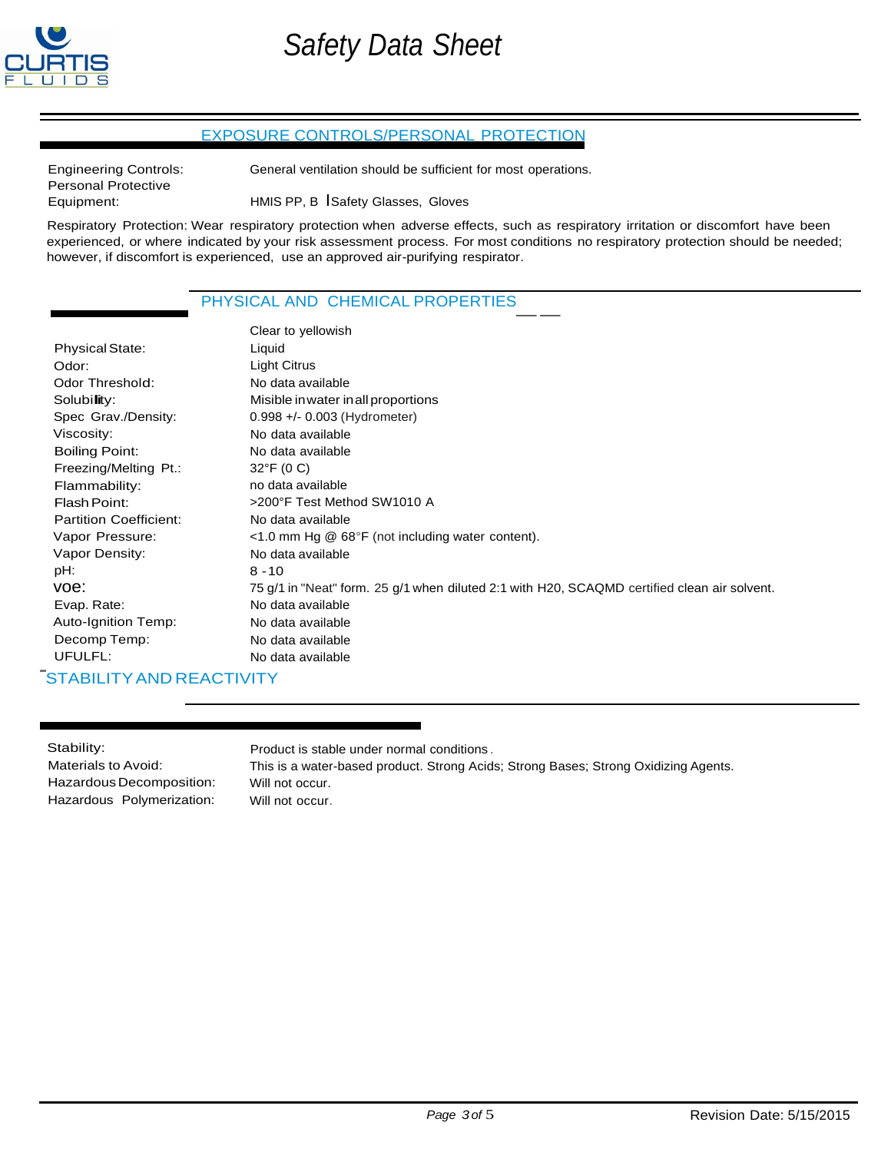

# EXPOSURE CONTROLS/PERSONAL PROTECTION

Engineering Controls: Personal Protective Equipment:

General ventilation should be sufficient for most operations.

HMIS PP, B ISafety Glasses, Gloves

Respiratory Protection: Wear respiratory protection when adverse effects, such as respiratory irritation or discomfort have been experienced, or where indicated by your risk assessment process. For most conditions no respiratory protection should be needed; however, if discomfort is experienced, use an approved air-purifying respirator.

# PHYSICAL AND CHEMICAL PROPERTIES

|                               | nowever, if discomfort is experienced, use an approved air-purifying respirator.             |
|-------------------------------|----------------------------------------------------------------------------------------------|
|                               | PHYSICAL AND CHEMICAL PROPERTIES                                                             |
|                               | Clear to yellowish                                                                           |
| <b>Physical State:</b>        | Liquid                                                                                       |
| Odor:                         | Light Citrus                                                                                 |
| Odor Threshold:               | No data available                                                                            |
| Solubility:                   | Misible in water in all proportions                                                          |
| Spec Grav./Density:           | 0.998 +/- 0.003 (Hydrometer)                                                                 |
| Viscosity:                    | No data available                                                                            |
| <b>Boiling Point:</b>         | No data available                                                                            |
| Freezing/Melting Pt.:         | $32^{\circ}F(0 C)$                                                                           |
| Flammability:                 | no data available                                                                            |
| Flash Point:                  | >200°F Test Method SW1010 A                                                                  |
| <b>Partition Coefficient:</b> | No data available                                                                            |
| Vapor Pressure:               | <1.0 mm Hg @ 68°F (not including water content).                                             |
| Vapor Density:                | No data available                                                                            |
| pH:                           | $8 - 10$                                                                                     |
| voe:                          | 75 g/1 in "Neat" form. 25 g/1 when diluted 2:1 with H20, SCAQMD certified clean air solvent. |
| Evap. Rate:                   | No data available                                                                            |
| Auto-Ignition Temp:           | No data available                                                                            |
| Decomp Temp:                  | No data available                                                                            |
| UFULFL:                       | No data available                                                                            |
| STABILITY AND REACTIVITY      |                                                                                              |

| Stability:                | Product is stable under normal conditions.                                          |
|---------------------------|-------------------------------------------------------------------------------------|
| Materials to Avoid:       | This is a water-based product. Strong Acids; Strong Bases; Strong Oxidizing Agents. |
| Hazardous Decomposition:  | Will not occur.                                                                     |
| Hazardous Polymerization: | Will not occur.                                                                     |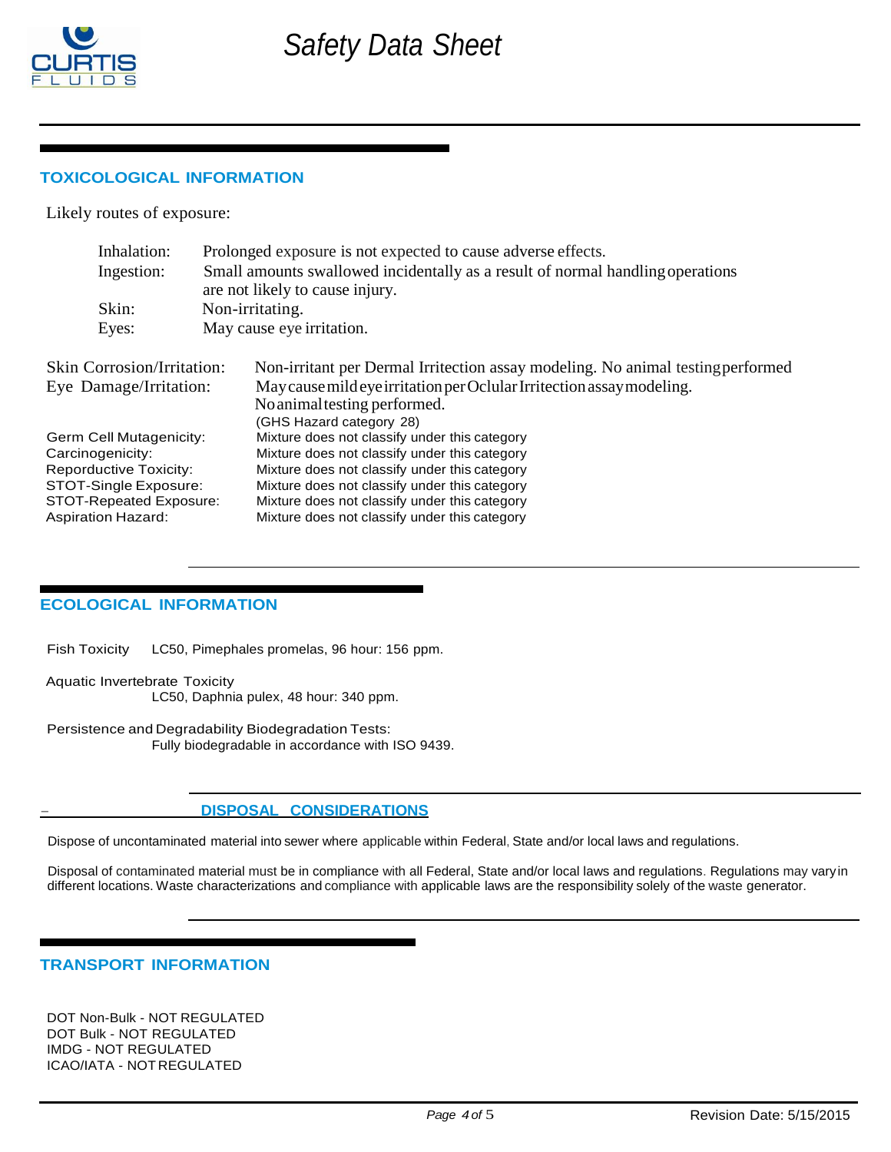

# **TOXICOLOGICAL INFORMATION**

Likely routes of exposure:

| Inhalation:                       | Prolonged exposure is not expected to cause adverse effects.                    |  |  |
|-----------------------------------|---------------------------------------------------------------------------------|--|--|
| Ingestion:                        | Small amounts swallowed incidentally as a result of normal handling operations  |  |  |
|                                   | are not likely to cause injury.                                                 |  |  |
| Skin:                             | Non-irritating.                                                                 |  |  |
| Eyes:                             | May cause eye irritation.                                                       |  |  |
| <b>Skin Corrosion/Irritation:</b> | Non-irritant per Dermal Irritection assay modeling. No animal testing performed |  |  |
| Eye Damage/Irritation:            | May cause mild eye irritation per Oclular Irritection assay modeling.           |  |  |
|                                   | No animal testing performed.                                                    |  |  |
|                                   | (GHS Hazard category 28)                                                        |  |  |
| Germ Cell Mutagenicity:           | Mixture does not classify under this category                                   |  |  |
| Carcinogenicity:                  | Mixture does not classify under this category                                   |  |  |
| <b>Reporductive Toxicity:</b>     | Mixture does not classify under this category                                   |  |  |
| STOT-Single Exposure:             | Mixture does not classify under this category                                   |  |  |
| <b>STOT-Repeated Exposure:</b>    | Mixture does not classify under this category                                   |  |  |
| <b>Aspiration Hazard:</b>         | Mixture does not classify under this category                                   |  |  |

#### **ECOLOGICAL INFORMATION**

Fish Toxicity LC50, Pimephales promelas, 96 hour: 156 ppm.

Aquatic Invertebrate Toxicity

LC50, Daphnia pulex, 48 hour: 340 ppm.

Persistence and Degradability Biodegradation Tests: Fully biodegradable in accordance with ISO 9439.

#### - **DISPOSAL CONSIDERATIONS**

Dispose of uncontaminated material into sewer where applicable within Federal, State and/or local laws and regulations.

Disposal of contaminated material must be in compliance with all Federal, State and/or local laws and regulations. Regulations may varyin different locations. Waste characterizations and compliance with applicable laws are the responsibility solely of the waste generator.

# **TRANSPORT INFORMATION**

DOT Non-Bulk - NOT REGULATED DOT Bulk - NOT REGULATED IMDG - NOT REGULATED ICAO/IATA - NOT REGULATED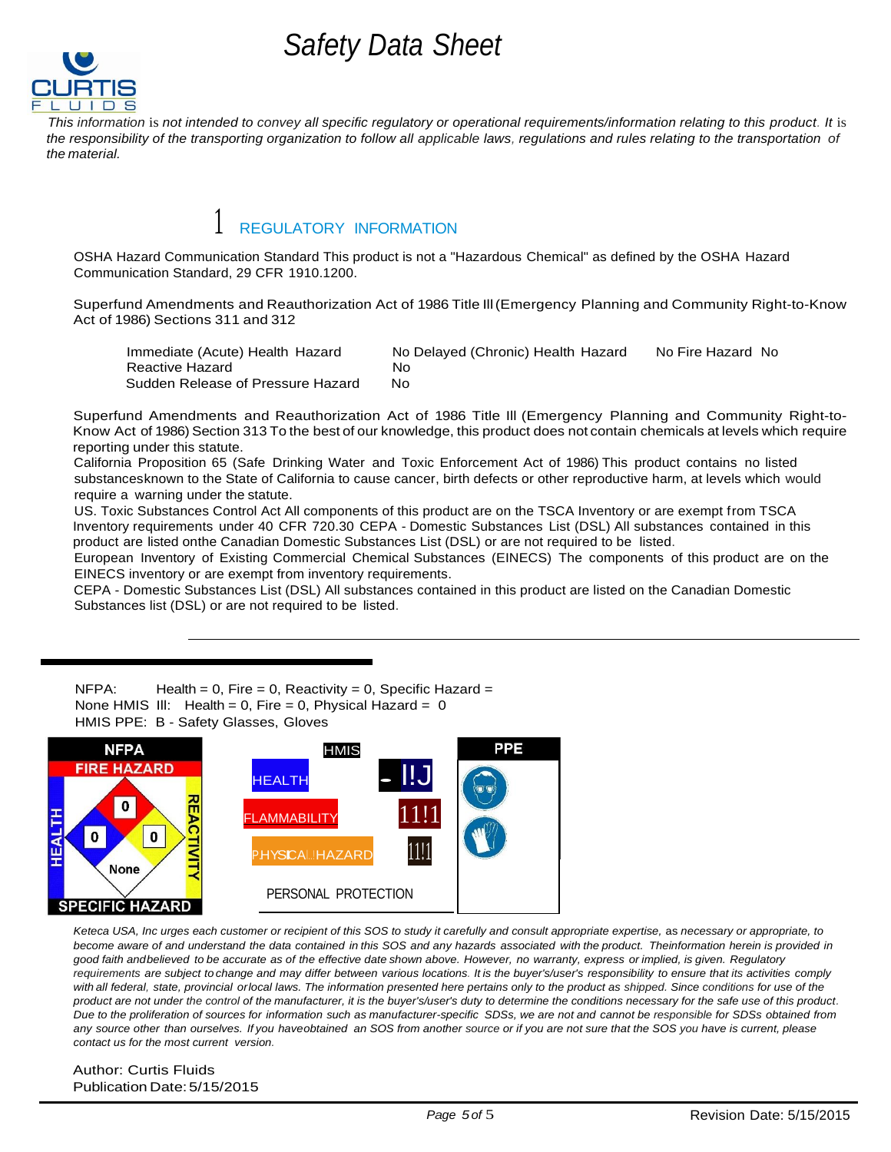

*This information* is *not intended to convey all specific regulatory or operational requirements/information relating to this product. It* is *the responsibility of the transporting organization to follow all applicable laws, regulations and rules relating to the transportation of the material.*

# REGULATORY INFORMATION

OSHA Hazard Communication Standard This product is not a "Hazardous Chemical" as defined by the OSHA Hazard Communication Standard, 29 CFR 1910.1200.

Superfund Amendments and Reauthorization Act of 1986 Title Ill(Emergency Planning and Community Right-to-Know Act of 1986) Sections 311 and 312

| Immediate (Acute) Health Hazard   | No Delayed (Chronic) Health Hazard | No Fire Hazard No |
|-----------------------------------|------------------------------------|-------------------|
| Reactive Hazard                   | No.                                |                   |
| Sudden Release of Pressure Hazard | No.                                |                   |

Superfund Amendments and Reauthorization Act of 1986 Title Ill (Emergency Planning and Community Right-to-Know Act of 1986) Section 313 To the best of our knowledge, this product does not contain chemicals at levels which require reporting under this statute.

California Proposition 65 (Safe Drinking Water and Toxic Enforcement Act of 1986) This product contains no listed substancesknown to the State of California to cause cancer, birth defects or other reproductive harm, at levels which would require a warning under the statute.

US. Toxic Substances Control Act All components of this product are on the TSCA Inventory or are exempt from TSCA Inventory requirements under 40 CFR 720.30 CEPA - Domestic Substances List (DSL) All substances contained in this product are listed onthe Canadian Domestic Substances List (DSL) or are not required to be listed.

European Inventory of Existing Commercial Chemical Substances (EINECS) The components of this product are on the EINECS inventory or are exempt from inventory requirements.

CEPA - Domestic Substances List (DSL) All substances contained in this product are listed on the Canadian Domestic Substances list (DSL) or are not required to be listed.

 $NFPA:$  Health = 0, Fire = 0, Reactivity = 0, Specific Hazard = None HMIS III: Health =  $0$ , Fire = 0, Physical Hazard = 0 HMIS PPE: B - Safety Glasses, Gloves



Keteca USA, Inc urges each customer or recipient of this SOS to study it carefully and consult appropriate expertise, as necessary or appropriate, to become aware of and understand the data contained in this SOS and any hazards associated with the product. Theinformation herein is provided in good faith andbelieved to be accurate as of the effective date shown above. However, no warranty, express or implied, is given. Regulatory requirements are subject to change and may differ between various locations. It is the buyer's/user's responsibility to ensure that its activities comply *with all federal, state, provincial orlocal laws. The information presented here pertains only to the product as shipped. Since conditions for use of the product are not under the control of the manufacturer, it is the buyer's/user's duty to determine the conditions necessary for the safe use of this product.*  Due to the proliferation of sources for information such as manufacturer-specific SDSs, we are not and cannot be responsible for SDSs obtained from *any source other than ourselves. If you haveobtained an SOS from another source or if you are not sure that the SOS you have is current, please contact us for the most current version.*

Author: Curtis Fluids Publication Date:5/15/2015